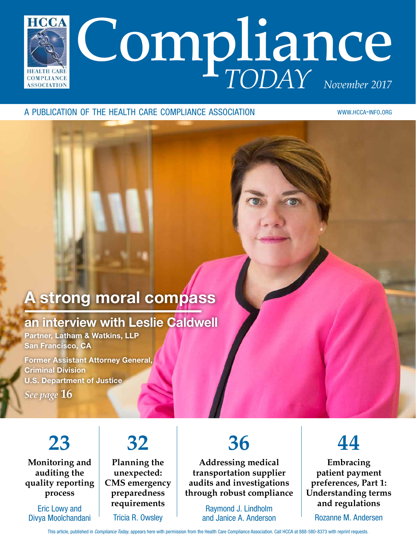

#### a publication of the health care compliance association

www.hcca-info.org

## A strong moral compass

### an interview with Leslie Caldwell

Partner, Latham & Watkins, LLP San Francisco, CA

Former Assistant Attorney General, Criminal Division U.S. Department of Justice

*See page* **16**

## **23**

**Monitoring and auditing the quality reporting process**

Eric Lowy and Divya Moolchandani

## **32**

**Planning the unexpected: CMS emergency preparedness requirements** Tricia R. Owsley

## **36**

**Addressing medical transportation supplier audits and investigations through robust compliance**

> Raymond J. Lindholm and Janice A. Anderson



**Embracing patient payment preferences, Part 1: Understanding terms and regulations**

Rozanne M. Andersen

This article, published in *Compliance Today*, appears here with permission from the Health Care Compliance Association. Call HCCA at 888-580-8373 with reprint requests.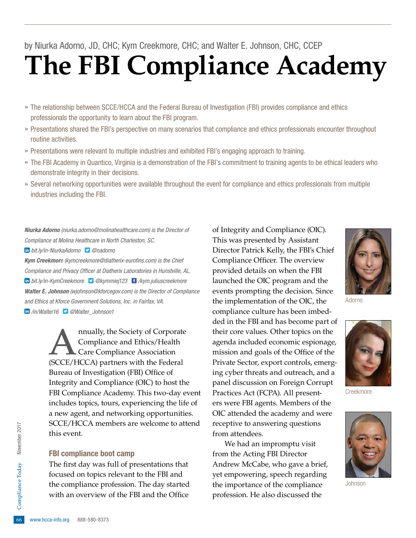# **The FBI Compliance Academy**

- » The relationship between SCCE/HCCA and the Federal Bureau of Investigation (FBI) provides compliance and ethics professionals the opportunity to learn about the FBI program.
- » Presentations shared the FBI's perspective on many scenarios that compliance and ethics professionals encounter throughout routine activities.
- » Presentations were relevant to multiple industries and exhibited FBI's engaging approach to training.
- » The FBI Academy in Quantico, Virginia is a demonstration of the FBI's commitment to training agents to be ethical leaders who demonstrate integrity in their decisions.
- » Several networking opportunities were available throughout the event for compliance and ethics professionals from multiple industries including the FBI.

*Niurka Adorno (niurka.adorno@molinahealthcare.com) is the Director of Compliance at Molina Healthcare in North Charleston, SC.* 

 *bit.ly/in-NiurkaAdorno @nadorno*

*Kym Creekmore (kymcreekmore@diatherix-eurofins.com) is the Chief Compliance and Privacy Officer at Diatherix Laboratories in Hunstville, AL. bit.ly/in-KymCreekmore @kymmiej123 /kym.juliuscreekmore Walter E. Johnson (wjohnson@kforcegov.com) is the Director of Compliance and Ethics at Kforce Government Solutions, Inc. in Fairfax, VA. /in/Walter16 @Walter\_Johnson1*

> nnually, the Society of Corporate Compliance and Ethics/Health Care Compliance Association (SCCE/HCCA) partners with the Federal Bureau of Investigation (FBI) Office of Integrity and Compliance (OIC) to host the FBI Compliance Academy. This two-day event includes topics, tours, experiencing the life of a new agent, and networking opportunities. SCCE/HCCA members are welcome to attend this event.

#### FBI compliance boot camp

the compliance profession. The day started<br>with an overview of the FBI and the Office<br> $\frac{6}{66}$  www.hcca-info.org 888-580-8373 The first day was full of presentations that focused on topics relevant to the FBI and with an overview of the FBI and the Office

of Integrity and Compliance (OIC). This was presented by Assistant Director Patrick Kelly, the FBI's Chief Compliance Officer. The overview provided details on when the FBI launched the OIC program and the events prompting the decision. Since the implementation of the OIC, the compliance culture has been imbedded in the FBI and has become part of their core values. Other topics on the agenda included economic espionage, mission and goals of the Office of the Private Sector, export controls, emerging cyber threats and outreach, and a panel discussion on Foreign Corrupt Practices Act (FCPA). All presenters were FBI agents. Members of the OIC attended the academy and were receptive to answering questions from attendees.

We had an impromptu visit from the Acting FBI Director Andrew McCabe, who gave a brief, yet empowering, speech regarding the importance of the compliance profession. He also discussed the



Adorno



Creekmore



Johnson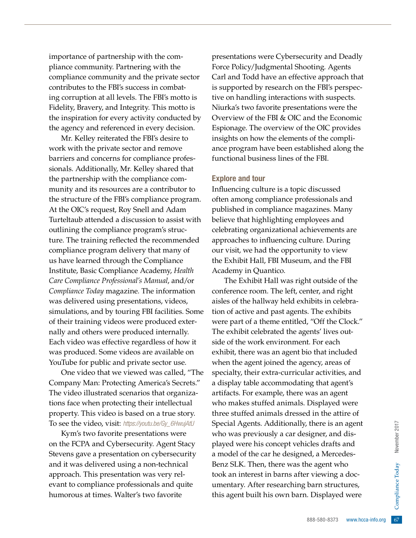importance of partnership with the compliance community. Partnering with the compliance community and the private sector contributes to the FBI's success in combating corruption at all levels. The FBI's motto is Fidelity, Bravery, and Integrity. This motto is the inspiration for every activity conducted by the agency and referenced in every decision.

Mr. Kelley reiterated the FBI's desire to work with the private sector and remove barriers and concerns for compliance professionals. Additionally, Mr. Kelley shared that the partnership with the compliance community and its resources are a contributor to the structure of the FBI's compliance program. At the OIC's request, Roy Snell and Adam Turteltaub attended a discussion to assist with outlining the compliance program's structure. The training reflected the recommended compliance program delivery that many of us have learned through the Compliance Institute, Basic Compliance Academy, *Health Care Compliance Professional's Manual*, and/or *Compliance Today* magazine. The information was delivered using presentations, videos, simulations, and by touring FBI facilities. Some of their training videos were produced externally and others were produced internally. Each video was effective regardless of how it was produced. Some videos are available on YouTube for public and private sector use.

One video that we viewed was called, "The Company Man: Protecting America's Secrets." The video illustrated scenarios that organizations face when protecting their intellectual property. This video is based on a true story. To see the video, visit: *https://youtu.be/Gy\_6HwujAtU*

Kym's two favorite presentations were on the FCPA and Cybersecurity. Agent Stacy Stevens gave a presentation on cybersecurity and it was delivered using a non-technical approach. This presentation was very relevant to compliance professionals and quite humorous at times. Walter's two favorite

presentations were Cybersecurity and Deadly Force Policy/Judgmental Shooting. Agents Carl and Todd have an effective approach that is supported by research on the FBI's perspective on handling interactions with suspects. Niurka's two favorite presentations were the Overview of the FBI & OIC and the Economic Espionage. The overview of the OIC provides insights on how the elements of the compliance program have been established along the functional business lines of the FBI.

#### Explore and tour

Influencing culture is a topic discussed often among compliance professionals and published in compliance magazines. Many believe that highlighting employees and celebrating organizational achievements are approaches to influencing culture. During our visit, we had the opportunity to view the Exhibit Hall, FBI Museum, and the FBI Academy in Quantico.

Frame is an agent<br>
signer, and dis-<br>
signer, and dis-<br>
ed, a Mercedes-<br>
the agent who<br>
r viewing a doc-<br>
barn structures,<br>
e. Displayed were<br>
es and the signer of the signal<br>
compliance of the signal<br>
compliance of the si The Exhibit Hall was right outside of the conference room. The left, center, and right aisles of the hallway held exhibits in celebration of active and past agents. The exhibits were part of a theme entitled, "Off the Clock." The exhibit celebrated the agents' lives outside of the work environment. For each exhibit, there was an agent bio that included when the agent joined the agency, areas of specialty, their extra-curricular activities, and a display table accommodating that agent's artifacts. For example, there was an agent who makes stuffed animals. Displayed were three stuffed animals dressed in the attire of Special Agents. Additionally, there is an agent who was previously a car designer, and displayed were his concept vehicles drafts and a model of the car he designed, a Mercedes-Benz SLK. Then, there was the agent who took an interest in barns after viewing a documentary. After researching barn structures, this agent built his own barn. Displayed were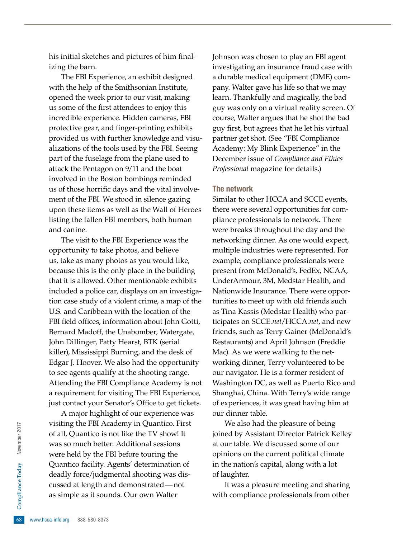his initial sketches and pictures of him finalizing the barn.

The FBI Experience, an exhibit designed with the help of the Smithsonian Institute, opened the week prior to our visit, making us some of the first attendees to enjoy this incredible experience. Hidden cameras, FBI protective gear, and finger-printing exhibits provided us with further knowledge and visualizations of the tools used by the FBI. Seeing part of the fuselage from the plane used to attack the Pentagon on 9/11 and the boat involved in the Boston bombings reminded us of those horrific days and the vital involvement of the FBI. We stood in silence gazing upon these items as well as the Wall of Heroes listing the fallen FBI members, both human and canine.

The visit to the FBI Experience was the opportunity to take photos, and believe us, take as many photos as you would like, because this is the only place in the building that it is allowed. Other mentionable exhibits included a police car, displays on an investigation case study of a violent crime, a map of the U.S. and Caribbean with the location of the FBI field offices, information about John Gotti, Bernard Madoff, the Unabomber, Watergate, John Dillinger, Patty Hearst, BTK (serial killer), Mississippi Burning, and the desk of Edgar J. Hoover. We also had the opportunity to see agents qualify at the shooting range. Attending the FBI Compliance Academy is not a requirement for visiting The FBI Experience, just contact your Senator's Office to get tickets.

example as it sources at length as<br>as simple as it sources of the sample as it sources of the sample as it sources of the same sample. A major highlight of our experience was visiting the FBI Academy in Quantico. First of all, Quantico is not like the TV show! It was so much better. Additional sessions were held by the FBI before touring the Quantico facility. Agents' determination of deadly force/judgmental shooting was discussed at length and demonstrated—not as simple as it sounds. Our own Walter

Johnson was chosen to play an FBI agent investigating an insurance fraud case with a durable medical equipment (DME) company. Walter gave his life so that we may learn. Thankfully and magically, the bad guy was only on a virtual reality screen. Of course, Walter argues that he shot the bad guy first, but agrees that he let his virtual partner get shot. (See "FBI Compliance Academy: My Blink Experience" in the December issue of *Compliance and Ethics Professional* magazine for details.)

#### The network

Similar to other HCCA and SCCE events, there were several opportunities for compliance professionals to network. There were breaks throughout the day and the networking dinner. As one would expect, multiple industries were represented. For example, compliance professionals were present from McDonald's, FedEx, NCAA, UnderArmour, 3M, Medstar Health, and Nationwide Insurance. There were opportunities to meet up with old friends such as Tina Kassis (Medstar Health) who participates on SCCE*.net*/HCCA*.net*, and new friends, such as Terry Gainer (McDonald's Restaurants) and April Johnson (Freddie Mac). As we were walking to the networking dinner, Terry volunteered to be our navigator. He is a former resident of Washington DC, as well as Puerto Rico and Shanghai, China. With Terry's wide range of experiences, it was great having him at our dinner table.

We also had the pleasure of being joined by Assistant Director Patrick Kelley at our table. We discussed some of our opinions on the current political climate in the nation's capital, along with a lot of laughter.

It was a pleasure meeting and sharing with compliance professionals from other